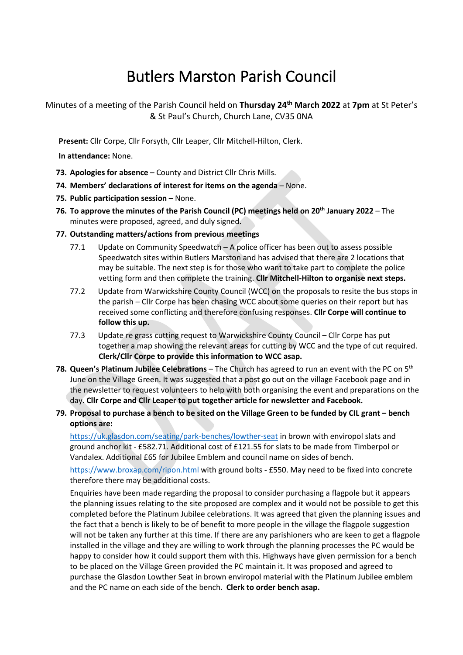# Butlers Marston Parish Council

Minutes of a meeting of the Parish Council held on **Thursday 24 th March 2022** at **7pm** at St Peter's & St Paul's Church, Church Lane, CV35 0NA

**Present:** Cllr Corpe, Cllr Forsyth, Cllr Leaper, Cllr Mitchell-Hilton, Clerk.

**In attendance:** None.

- **73. Apologies for absence** County and District Cllr Chris Mills.
- **74. Members' declarations of interest for items on the agenda** None.
- **75. Public participation session** None.
- **76. To approve the minutes of the Parish Council (PC) meetings held on 20th January 2022** The minutes were proposed, agreed, and duly signed.
- **77. Outstanding matters/actions from previous meetings**
	- 77.1 Update on Community Speedwatch A police officer has been out to assess possible Speedwatch sites within Butlers Marston and has advised that there are 2 locations that may be suitable. The next step is for those who want to take part to complete the police vetting form and then complete the training. **Cllr Mitchell-Hilton to organise next steps.**
	- 77.2 Update from Warwickshire County Council (WCC) on the proposals to resite the bus stops in the parish – Cllr Corpe has been chasing WCC about some queries on their report but has received some conflicting and therefore confusing responses. **Cllr Corpe will continue to follow this up.**
	- 77.3 Update re grass cutting request to Warwickshire County Council Cllr Corpe has put together a map showing the relevant areas for cutting by WCC and the type of cut required. **Clerk/Cllr Corpe to provide this information to WCC asap.**
- **78. Queen's Platinum Jubilee Celebrations** The Church has agreed to run an event with the PC on 5th June on the Village Green. It was suggested that a post go out on the village Facebook page and in the newsletter to request volunteers to help with both organising the event and preparations on the day. **Cllr Corpe and Cllr Leaper to put together article for newsletter and Facebook.**

## **79. Proposal to purchase a bench to be sited on the Village Green to be funded by CIL grant – bench options are:**

<https://uk.glasdon.com/seating/park-benches/lowther-seat> in brown with enviropol slats and ground anchor kit - £582.71. Additional cost of £121.55 for slats to be made from Timberpol or Vandalex. Additional £65 for Jubilee Emblem and council name on sides of bench.

<https://www.broxap.com/ripon.html> with ground bolts - £550. May need to be fixed into concrete therefore there may be additional costs.

Enquiries have been made regarding the proposal to consider purchasing a flagpole but it appears the planning issues relating to the site proposed are complex and it would not be possible to get this completed before the Platinum Jubilee celebrations. It was agreed that given the planning issues and the fact that a bench is likely to be of benefit to more people in the village the flagpole suggestion will not be taken any further at this time. If there are any parishioners who are keen to get a flagpole installed in the village and they are willing to work through the planning processes the PC would be happy to consider how it could support them with this. Highways have given permission for a bench to be placed on the Village Green provided the PC maintain it. It was proposed and agreed to purchase the Glasdon Lowther Seat in brown enviropol material with the Platinum Jubilee emblem and the PC name on each side of the bench. **Clerk to order bench asap.**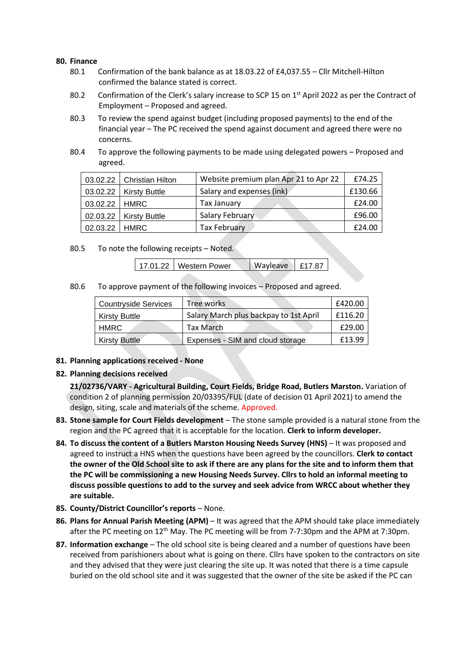#### **80. Finance**

- 80.1 Confirmation of the bank balance as at 18.03.22 of £4,037.55 Cllr Mitchell-Hilton confirmed the balance stated is correct.
- 80.2 Confirmation of the Clerk's salary increase to SCP 15 on 1<sup>st</sup> April 2022 as per the Contract of Employment – Proposed and agreed.
- 80.3 To review the spend against budget (including proposed payments) to the end of the financial year – The PC received the spend against document and agreed there were no concerns.
- 80.4 To approve the following payments to be made using delegated powers Proposed and agreed.

|                 | 03.02.22   Christian Hilton | Website premium plan Apr 21 to Apr 22 | £74.25  |
|-----------------|-----------------------------|---------------------------------------|---------|
|                 | $03.02.22$ Kirsty Buttle    | Salary and expenses (ink)             | £130.66 |
| 03.02.22   HMRC |                             | Tax January                           | £24.00  |
|                 | $02.03.22$ Kirsty Buttle    | Salary February                       | £96.00  |
| 02.03.22   HMRC |                             | <b>Tax February</b>                   | £24.00  |

80.5 To note the following receipts – Noted.

17.01.22 Western Power Wayleave £17.87

80.6 To approve payment of the following invoices – Proposed and agreed.

| <b>Countryside Services</b> | Tree works                             | £420.00 |
|-----------------------------|----------------------------------------|---------|
| <b>Kirsty Buttle</b>        | Salary March plus backpay to 1st April | £116.20 |
| <b>HMRC</b>                 | Tax March                              | £29.00  |
| <b>Kirsty Buttle</b>        | Expenses - SIM and cloud storage       | £13.99  |

**81. Planning applications received - None**

### **82. Planning decisions received**

**21/02736/VARY - Agricultural Building, Court Fields, Bridge Road, Butlers Marston.** Variation of condition 2 of planning permission 20/03395/FUL (date of decision 01 April 2021) to amend the design, siting, scale and materials of the scheme. Approved.

- **83. Stone sample for Court Fields development** The stone sample provided is a natural stone from the region and the PC agreed that it is acceptable for the location. **Clerk to inform developer.**
- **84. To discuss the content of a Butlers Marston Housing Needs Survey (HNS)** It was proposed and agreed to instruct a HNS when the questions have been agreed by the councillors. **Clerk to contact the owner of the Old School site to ask if there are any plans for the site and to inform them that the PC will be commissioning a new Housing Needs Survey. Cllrs to hold an informal meeting to discuss possible questions to add to the survey and seek advice from WRCC about whether they are suitable.**
- **85. County/District Councillor's reports** None.
- **86. Plans for Annual Parish Meeting (APM)**  It was agreed that the APM should take place immediately after the PC meeting on 12<sup>th</sup> May. The PC meeting will be from 7-7:30pm and the APM at 7:30pm.
- **87. Information exchange** The old school site is being cleared and a number of questions have been received from parishioners about what is going on there. Cllrs have spoken to the contractors on site and they advised that they were just clearing the site up. It was noted that there is a time capsule buried on the old school site and it was suggested that the owner of the site be asked if the PC can